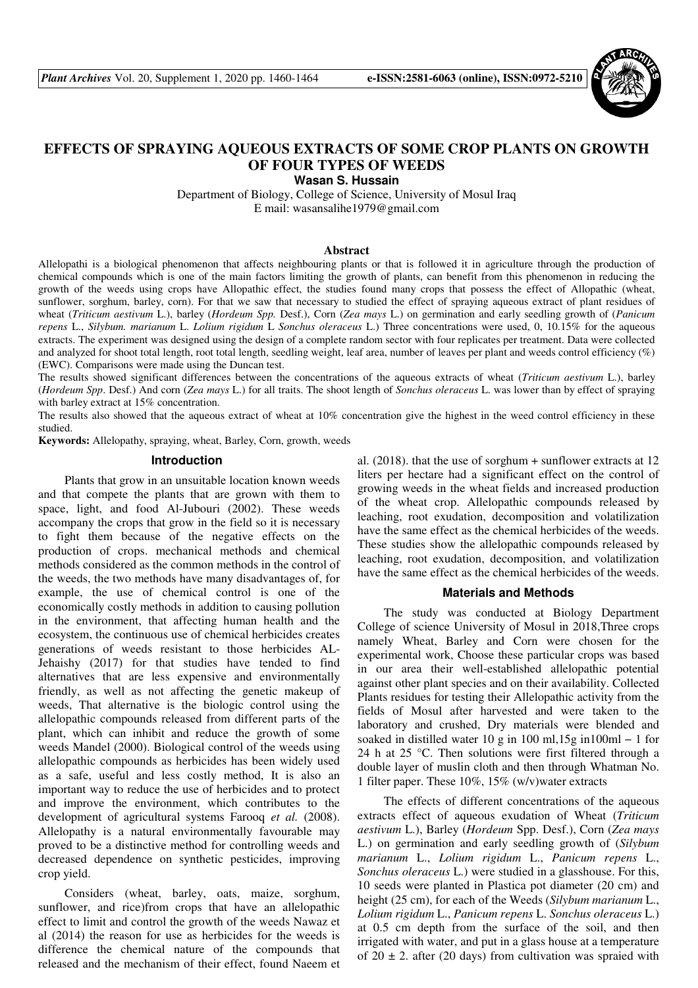

# **EFFECTS OF SPRAYING AQUEOUS EXTRACTS OF SOME CROP PLANTS ON GROWTH OF FOUR TYPES OF WEEDS**

**Wasan S. Hussain** 

Department of Biology, College of Science, University of Mosul Iraq E mail: wasansalihe1979@gmail.com

# **Abstract**

Allelopathi is a biological phenomenon that affects neighbouring plants or that is followed it in agriculture through the production of chemical compounds which is one of the main factors limiting the growth of plants, can benefit from this phenomenon in reducing the growth of the weeds using crops have Allopathic effect, the studies found many crops that possess the effect of Allopathic (wheat, sunflower, sorghum, barley, corn). For that we saw that necessary to studied the effect of spraying aqueous extract of plant residues of wheat (*Triticum aestivum* L.), barley (*Hordeum Spp.* Desf.), Corn (*Zea mays* L.) on germination and early seedling growth of (*Panicum repens* L., *Silybum. marianum* L. *Lolium rigidum* L *Sonchus oleraceus* L.) Three concentrations were used, 0, 10.15% for the aqueous extracts. The experiment was designed using the design of a complete random sector with four replicates per treatment. Data were collected and analyzed for shoot total length, root total length, seedling weight, leaf area, number of leaves per plant and weeds control efficiency (%) (EWC). Comparisons were made using the Duncan test.

The results showed significant differences between the concentrations of the aqueous extracts of wheat (*Triticum aestivum* L.), barley (*Hordeum Spp*. Desf.) And corn (*Zea mays* L.) for all traits. The shoot length of *Sonchus oleraceus* L. was lower than by effect of spraying with barley extract at 15% concentration.

The results also showed that the aqueous extract of wheat at 10% concentration give the highest in the weed control efficiency in these studied.

**Keywords:** Allelopathy, spraying, wheat, Barley, Corn, growth, weeds

#### **Introduction**

Plants that grow in an unsuitable location known weeds and that compete the plants that are grown with them to space, light, and food Al-Jubouri (2002). These weeds accompany the crops that grow in the field so it is necessary to fight them because of the negative effects on the production of crops. mechanical methods and chemical methods considered as the common methods in the control of the weeds, the two methods have many disadvantages of, for example, the use of chemical control is one of the economically costly methods in addition to causing pollution in the environment, that affecting human health and the ecosystem, the continuous use of chemical herbicides creates generations of weeds resistant to those herbicides AL-Jehaishy (2017) for that studies have tended to find alternatives that are less expensive and environmentally friendly, as well as not affecting the genetic makeup of weeds, That alternative is the biologic control using the allelopathic compounds released from different parts of the plant, which can inhibit and reduce the growth of some weeds Mandel (2000). Biological control of the weeds using allelopathic compounds as herbicides has been widely used as a safe, useful and less costly method, It is also an important way to reduce the use of herbicides and to protect and improve the environment, which contributes to the development of agricultural systems Farooq *et al.* (2008). Allelopathy is a natural environmentally favourable may proved to be a distinctive method for controlling weeds and decreased dependence on synthetic pesticides, improving crop yield.

Considers (wheat, barley, oats, maize, sorghum, sunflower, and rice)from crops that have an allelopathic effect to limit and control the growth of the weeds Nawaz et al (2014) the reason for use as herbicides for the weeds is difference the chemical nature of the compounds that released and the mechanism of their effect, found Naeem et

al.  $(2018)$ . that the use of sorghum  $+$  sunflower extracts at 12 liters per hectare had a significant effect on the control of growing weeds in the wheat fields and increased production of the wheat crop. Allelopathic compounds released by leaching, root exudation, decomposition and volatilization have the same effect as the chemical herbicides of the weeds. These studies show the allelopathic compounds released by leaching, root exudation, decomposition, and volatilization have the same effect as the chemical herbicides of the weeds.

#### **Materials and Methods**

The study was conducted at Biology Department College of science University of Mosul in 2018,Three crops namely Wheat, Barley and Corn were chosen for the experimental work, Choose these particular crops was based in our area their well-established allelopathic potential against other plant species and on their availability. Collected Plants residues for testing their Allelopathic activity from the fields of Mosul after harvested and were taken to the laboratory and crushed, Dry materials were blended and soaked in distilled water 10 g in 100 ml,15g in100ml − 1 for 24 h at 25  $\degree$ C. Then solutions were first filtered through a double layer of muslin cloth and then through Whatman No. 1 filter paper. These 10%, 15% (w/v)water extracts

The effects of different concentrations of the aqueous extracts effect of aqueous exudation of Wheat (*Triticum aestivum* L.), Barley (*Hordeum* Spp. Desf.), Corn (*Zea mays* L.) on germination and early seedling growth of (*Silybum marianum* L., *Lolium rigidum* L., *Panicum repens* L., *Sonchus oleraceus* L.) were studied in a glasshouse. For this, 10 seeds were planted in Plastica pot diameter (20 cm) and height (25 cm), for each of the Weeds (*Silybum marianum* L., *Lolium rigidum* L., *Panicum repens* L. *Sonchus oleraceus* L.) at 0.5 cm depth from the surface of the soil, and then irrigated with water, and put in a glass house at a temperature of  $20 \pm 2$ . after (20 days) from cultivation was spraied with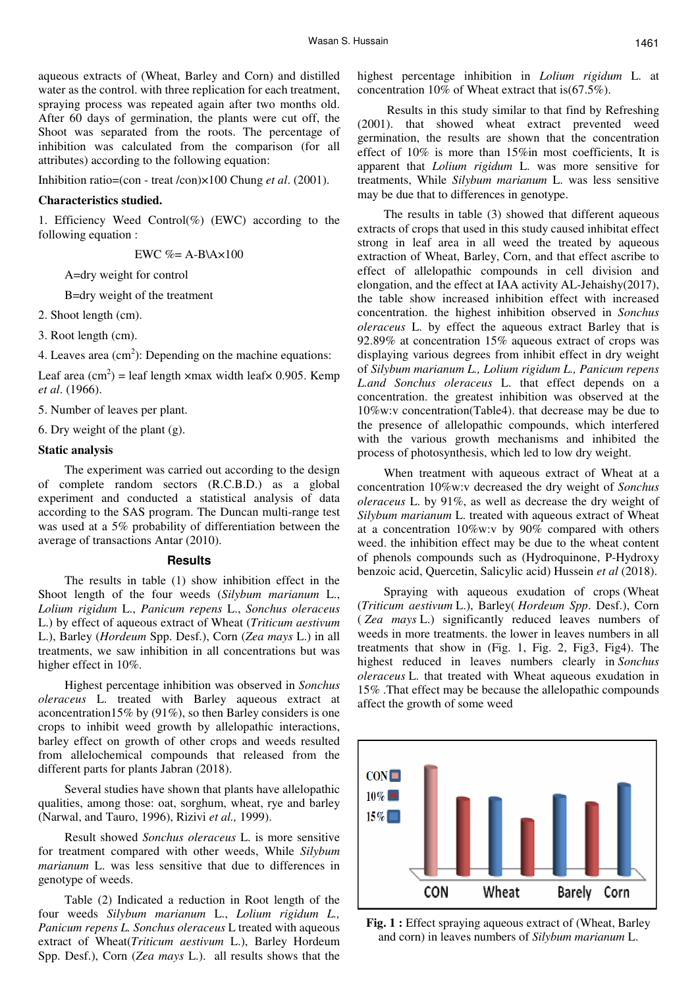aqueous extracts of (Wheat, Barley and Corn) and distilled water as the control. with three replication for each treatment, spraying process was repeated again after two months old. After 60 days of germination, the plants were cut off, the Shoot was separated from the roots. The percentage of inhibition was calculated from the comparison (for all attributes) according to the following equation:

Inhibition ratio=(con - treat /con)×100 Chung *et al*. (2001).

#### **Characteristics studied.**

1. Efficiency Weed Control(%) (EWC) according to the following equation :

EWC  $% = A-B\$ A\times100

A=dry weight for control

B=dry weight of the treatment

2. Shoot length (cm).

3. Root length (cm).

4. Leaves area  $(cm<sup>2</sup>)$ : Depending on the machine equations:

Leaf area  $(cm^2)$  = leaf length  $\times$ max width leaf $\times$  0.905. Kemp *et al*. (1966).

5. Number of leaves per plant.

6. Dry weight of the plant (g).

# **Static analysis**

The experiment was carried out according to the design of complete random sectors (R.C.B.D.) as a global experiment and conducted a statistical analysis of data according to the SAS program. The Duncan multi-range test was used at a 5% probability of differentiation between the average of transactions Antar (2010).

## **Results**

The results in table (1) show inhibition effect in the Shoot length of the four weeds (*Silybum marianum* L., *Lolium rigidum* L., *Panicum repens* L., *Sonchus oleraceus* L.) by effect of aqueous extract of Wheat (*Triticum aestivum* L.), Barley (*Hordeum* Spp. Desf.), Corn (*Zea mays* L.) in all treatments, we saw inhibition in all concentrations but was higher effect in 10%.

Highest percentage inhibition was observed in *Sonchus oleraceus* L. treated with Barley aqueous extract at aconcentration15% by (91%), so then Barley considers is one crops to inhibit weed growth by allelopathic interactions, barley effect on growth of other crops and weeds resulted from allelochemical compounds that released from the different parts for plants Jabran (2018).

Several studies have shown that plants have allelopathic qualities, among those: oat, sorghum, wheat, rye and barley (Narwal, and Tauro, 1996), Rizivi *et al.,* 1999).

Result showed *Sonchus oleraceus* L. is more sensitive for treatment compared with other weeds, While *Silybum marianum* L. was less sensitive that due to differences in genotype of weeds.

Table (2) Indicated a reduction in Root length of the four weeds *Silybum marianum* L., *Lolium rigidum L., Panicum repens L. Sonchus oleraceus* L treated with aqueous extract of Wheat(*Triticum aestivum* L.), Barley Hordeum Spp. Desf.), Corn (*Zea mays* L.). all results shows that the highest percentage inhibition in *Lolium rigidum* L. at concentration 10% of Wheat extract that is(67.5%).

 Results in this study similar to that find by Refreshing (2001). that showed wheat extract prevented weed germination, the results are shown that the concentration effect of 10% is more than 15%in most coefficients, It is apparent that *Lolium rigidum* L. was more sensitive for treatments, While *Silybum marianum* L. was less sensitive may be due that to differences in genotype.

The results in table (3) showed that different aqueous extracts of crops that used in this study caused inhibitat effect strong in leaf area in all weed the treated by aqueous extraction of Wheat, Barley, Corn, and that effect ascribe to effect of allelopathic compounds in cell division and elongation, and the effect at IAA activity AL-Jehaishy(2017), the table show increased inhibition effect with increased concentration. the highest inhibition observed in *Sonchus oleraceus* L. by effect the aqueous extract Barley that is 92.89% at concentration 15% aqueous extract of crops was displaying various degrees from inhibit effect in dry weight of *Silybum marianum L., Lolium rigidum L., Panicum repens L.and Sonchus oleraceus* L. that effect depends on a concentration. the greatest inhibition was observed at the 10%w:v concentration(Table4). that decrease may be due to the presence of allelopathic compounds, which interfered with the various growth mechanisms and inhibited the process of photosynthesis, which led to low dry weight.

When treatment with aqueous extract of Wheat at a concentration 10%w:v decreased the dry weight of *Sonchus oleraceus* L. by 91%, as well as decrease the dry weight of *Silybum marianum* L. treated with aqueous extract of Wheat at a concentration 10%w:v by 90% compared with others weed. the inhibition effect may be due to the wheat content of phenols compounds such as (Hydroquinone, P-Hydroxy benzoic acid, Quercetin, Salicylic acid) Hussein *et al* (2018).

Spraying with aqueous exudation of crops (Wheat (*Triticum aestivum* L.), Barley( *Hordeum Spp*. Desf.), Corn ( *Zea mays* L.) significantly reduced leaves numbers of weeds in more treatments. the lower in leaves numbers in all treatments that show in (Fig. 1, Fig. 2, Fig3, Fig4). The highest reduced in leaves numbers clearly in *Sonchus oleraceus* L. that treated with Wheat aqueous exudation in 15% .That effect may be because the allelopathic compounds affect the growth of some weed



**Fig. 1 :** Effect spraying aqueous extract of (Wheat, Barley and corn) in leaves numbers of *Silybum marianum* L.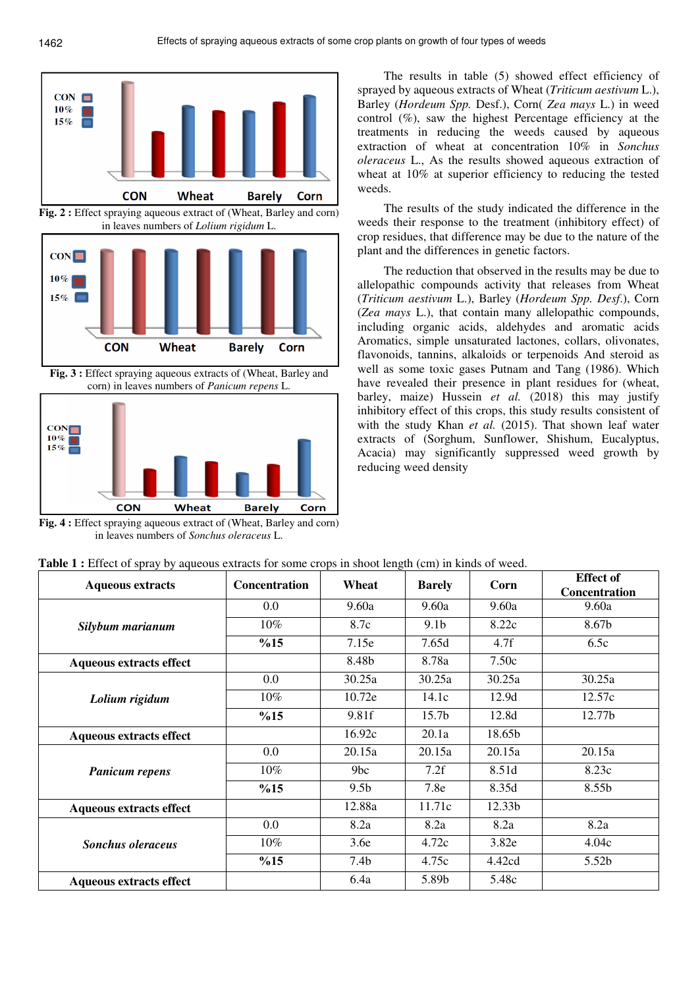



**Fig. 3 :** Effect spraying aqueous extracts of (Wheat, Barley and corn) in leaves numbers of *Panicum repens* L.



**Fig. 4 :** Effect spraying aqueous extract of (Wheat, Barley and corn) in leaves numbers of *Sonchus oleraceus* L.

The results in table (5) showed effect efficiency of sprayed by aqueous extracts of Wheat (*Triticum aestivum* L.), Barley (*Hordeum Spp.* Desf.), Corn( *Zea mays* L.) in weed control (%), saw the highest Percentage efficiency at the treatments in reducing the weeds caused by aqueous extraction of wheat at concentration 10% in *Sonchus oleraceus* L., As the results showed aqueous extraction of wheat at 10% at superior efficiency to reducing the tested weeds.

The results of the study indicated the difference in the weeds their response to the treatment (inhibitory effect) of crop residues, that difference may be due to the nature of the plant and the differences in genetic factors.

The reduction that observed in the results may be due to allelopathic compounds activity that releases from Wheat (*Triticum aestivum* L.), Barley (*Hordeum Spp. Desf*.), Corn (*Zea mays* L.), that contain many allelopathic compounds, including organic acids, aldehydes and aromatic acids Aromatics, simple unsaturated lactones, collars, olivonates, flavonoids, tannins, alkaloids or terpenoids And steroid as well as some toxic gases Putnam and Tang (1986). Which have revealed their presence in plant residues for (wheat, barley, maize) Hussein *et al.* (2018) this may justify inhibitory effect of this crops, this study results consistent of with the study Khan *et al.* (2015). That shown leaf water extracts of (Sorghum, Sunflower, Shishum, Eucalyptus, Acacia) may significantly suppressed weed growth by reducing weed density

| <b>Aqueous extracts</b>        | <b>Concentration</b> | Wheat            | <b>Barely</b>     | Corn   | <b>Effect of</b><br><b>Concentration</b> |
|--------------------------------|----------------------|------------------|-------------------|--------|------------------------------------------|
| Silybum marianum               | $0.0\,$              | 9.60a            | 9.60a             | 9.60a  | 9.60a                                    |
|                                | $10\%$               | 8.7c             | 9.1 <sub>b</sub>  | 8.22c  | 8.67b                                    |
|                                | %15                  | 7.15e            | 7.65d             | 4.7f   | 6.5c                                     |
| <b>Aqueous extracts effect</b> |                      | 8.48b            | 8.78a             | 7.50c  |                                          |
| Lolium rigidum                 | 0.0                  | 30.25a           | 30.25a            | 30.25a | 30.25a                                   |
|                                | 10%                  | 10.72e           | 14.1c             | 12.9d  | 12.57c                                   |
|                                | %15                  | 9.81f            | 15.7 <sub>b</sub> | 12.8d  | 12.77b                                   |
| <b>Aqueous extracts effect</b> |                      | 16.92c           | 20.1a             | 18.65b |                                          |
| <b>Panicum repens</b>          | $0.0\,$              | 20.15a           | 20.15a            | 20.15a | 20.15a                                   |
|                                | $10\%$               | 9bc              | 7.2f              | 8.51d  | 8.23c                                    |
|                                | %15                  | 9.5 <sub>b</sub> | 7.8e              | 8.35d  | 8.55b                                    |
| <b>Aqueous extracts effect</b> |                      | 12.88a           | 11.71c            | 12.33b |                                          |
| <b>Sonchus oleraceus</b>       | 0.0                  | 8.2a             | 8.2a              | 8.2a   | 8.2a                                     |
|                                | $10\%$               | 3.6e             | 4.72c             | 3.82e  | 4.04c                                    |
|                                | %15                  | 7.4 <sub>b</sub> | 4.75c             | 4.42cd | 5.52b                                    |
| Aqueous extracts effect        |                      | 6.4a             | 5.89b             | 5.48c  |                                          |

**Table 1 :** Effect of spray by aqueous extracts for some crops in shoot length (cm) in kinds of weed.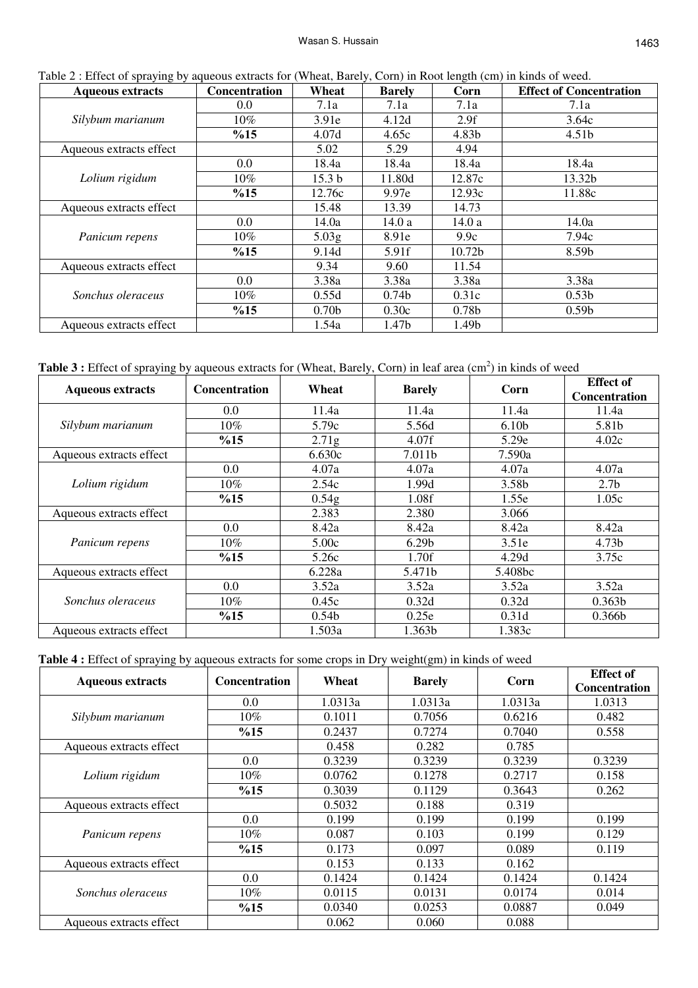| Table 2 : Effect of spraying by aqueous extracts for (Wheat, Barely, Corn) in Root length (cm) in kinds of weed. |                      |                   |                   |                    |                                |  |
|------------------------------------------------------------------------------------------------------------------|----------------------|-------------------|-------------------|--------------------|--------------------------------|--|
| <b>Aqueous extracts</b>                                                                                          | <b>Concentration</b> | Wheat             | <b>Barely</b>     | Corn               | <b>Effect of Concentration</b> |  |
| Silybum marianum                                                                                                 | $0.0\,$              | 7.1a              | 7.1a              | 7.1a               | 7.1a                           |  |
|                                                                                                                  | $10\%$               | 3.91e             | 4.12d             | 2.9f               | 3.64c                          |  |
|                                                                                                                  | %15                  | 4.07d             | 4.65c             | 4.83b              | 4.51b                          |  |
| Aqueous extracts effect                                                                                          |                      | 5.02              | 5.29              | 4.94               |                                |  |
|                                                                                                                  | 0.0                  | 18.4a             | 18.4a             | 18.4a              | 18.4a                          |  |
| Lolium rigidum                                                                                                   | $10\%$               | 15.3 <sub>b</sub> | 11.80d            | 12.87c             | 13.32b                         |  |
|                                                                                                                  | %15                  | 12.76c            | 9.97e             | 12.93c             | 11.88c                         |  |
| Aqueous extracts effect                                                                                          |                      | 15.48             | 13.39             | 14.73              |                                |  |
| Panicum repens                                                                                                   | 0.0                  | 14.0a             | 14.0 a            | 14.0a              | 14.0a                          |  |
|                                                                                                                  | $10\%$               | 5.03 <sub>g</sub> | 8.91e             | 9.9c               | 7.94c                          |  |
|                                                                                                                  | %15                  | 9.14d             | 5.91f             | 10.72 <sub>b</sub> | 8.59b                          |  |
| Aqueous extracts effect                                                                                          |                      | 9.34              | 9.60              | 11.54              |                                |  |
| Sonchus oleraceus                                                                                                | 0.0                  | 3.38a             | 3.38a             | 3.38a              | 3.38a                          |  |
|                                                                                                                  | $10\%$               | 0.55d             | 0.74 <sub>b</sub> | 0.31c              | 0.53 <sub>b</sub>              |  |
|                                                                                                                  | %15                  | 0.70 <sub>b</sub> | 0.30c             | 0.78 <sub>b</sub>  | 0.59 <sub>b</sub>              |  |
| Aqueous extracts effect                                                                                          |                      | 1.54a             | 1.47b             | 1.49b              |                                |  |

Table 3 : Effect of spraying by aqueous extracts for (Wheat, Barely, Corn) in leaf area (cm<sup>2</sup>) in kinds of weed

| <b>Aqueous extracts</b> |         | Wheat<br><b>Concentration</b> | <b>Barely</b>     | Corn              | <b>Effect</b> of   |
|-------------------------|---------|-------------------------------|-------------------|-------------------|--------------------|
|                         |         |                               |                   |                   | Concentration      |
| Silybum marianum        | $0.0\,$ | 11.4a                         | 11.4a             | 11.4a             | 11.4a              |
|                         | $10\%$  | 5.79c                         | 5.56d             | 6.10 <sub>b</sub> | 5.81b              |
|                         | %15     | 2.71 <sub>g</sub>             | 4.07f             | 5.29e             | 4.02c              |
| Aqueous extracts effect |         | 6.630c                        | 7.011b            | 7.590a            |                    |
|                         | $0.0\,$ | 4.07a                         | 4.07a             | 4.07a             | 4.07a              |
| Lolium rigidum          | $10\%$  | 2.54c                         | 1.99d             | 3.58b             | 2.7 <sub>b</sub>   |
|                         | %15     | 0.54 <sub>g</sub>             | 1.08f             | 1.55e             | 1.05c              |
| Aqueous extracts effect |         | 2.383                         | 2.380             | 3.066             |                    |
| Panicum repens          | 0.0     | 8.42a                         | 8.42a             | 8.42a             | 8.42a              |
|                         | $10\%$  | 5.00c                         | 6.29 <sub>b</sub> | 3.51e             | 4.73b              |
|                         | %15     | 5.26c                         | 1.70f             | 4.29d             | 3.75c              |
| Aqueous extracts effect |         | 6.228a                        | 5.471b            | 5.408bc           |                    |
| Sonchus oleraceus       | 0.0     | 3.52a                         | 3.52a             | 3.52a             | 3.52a              |
|                         | $10\%$  | 0.45c                         | 0.32d             | 0.32d             | 0.363 <sub>b</sub> |
|                         | %15     | 0.54 <sub>b</sub>             | 0.25e             | 0.31d             | 0.366 <sub>b</sub> |
| Aqueous extracts effect |         | 1.503a                        | 1.363b            | 1.383c            |                    |

**Table 4 :** Effect of spraying by aqueous extracts for some crops in Dry weight(gm) in kinds of weed

| <b>Aqueous extracts</b> | <b>Concentration</b> | Wheat   | <b>Barely</b> | Corn    | <b>Effect</b> of     |
|-------------------------|----------------------|---------|---------------|---------|----------------------|
|                         |                      |         |               |         | <b>Concentration</b> |
| Silybum marianum        | 0.0                  | 1.0313a | 1.0313a       | 1.0313a | 1.0313               |
|                         | 10%                  | 0.1011  | 0.7056        | 0.6216  | 0.482                |
|                         | %15                  | 0.2437  | 0.7274        | 0.7040  | 0.558                |
| Aqueous extracts effect |                      | 0.458   | 0.282         | 0.785   |                      |
| Lolium rigidum          | $0.0\,$              | 0.3239  | 0.3239        | 0.3239  | 0.3239               |
|                         | $10\%$               | 0.0762  | 0.1278        | 0.2717  | 0.158                |
|                         | %15                  | 0.3039  | 0.1129        | 0.3643  | 0.262                |
| Aqueous extracts effect |                      | 0.5032  | 0.188         | 0.319   |                      |
| Panicum repens          | 0.0                  | 0.199   | 0.199         | 0.199   | 0.199                |
|                         | $10\%$               | 0.087   | 0.103         | 0.199   | 0.129                |
|                         | %15                  | 0.173   | 0.097         | 0.089   | 0.119                |
| Aqueous extracts effect |                      | 0.153   | 0.133         | 0.162   |                      |
| Sonchus oleraceus       | $0.0\,$              | 0.1424  | 0.1424        | 0.1424  | 0.1424               |
|                         | 10%                  | 0.0115  | 0.0131        | 0.0174  | 0.014                |
|                         | %15                  | 0.0340  | 0.0253        | 0.0887  | 0.049                |
| Aqueous extracts effect |                      | 0.062   | 0.060         | 0.088   |                      |